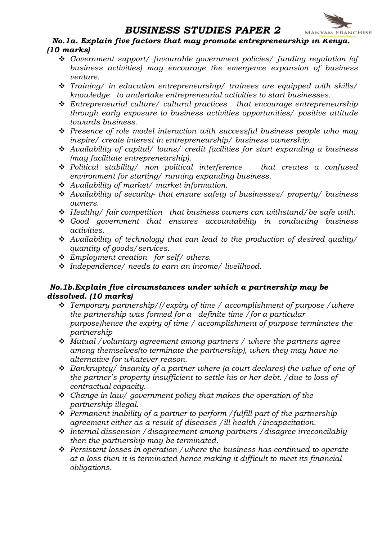

# BUSINESS STUDIES PAPER 2 MANYAM FRANCHISE<br>No.1a. Explain five factors that may promote entrepreneurship in Kenya. (10 marks)

- \* Government support/ favourable government policies/ funding regulation (of business activities) may encourage the emergence expansion of business venture.
- $\cdot$  Training/ in education entrepreneurship/ trainees are equipped with skills/ knowledge to undertake entrepreneurial activities to start businesses.
- $\div$  Entrepreneurial culture/ cultural practices that encourage entrepreneurship through early exposure to business activities opportunities/ positive attitude towards business.
- $\hat{\mathbf{v}}$  Presence of role model interaction with successful business people who may inspire/ create interest in entrepreneurship/ business ownership.
- $\triangleleft$  Availability of capital/ loans/ credit facilities for start expanding a business (may facilitate entrepreneurship).
- $\div$  Political stability/ non political interference that creates a confused environment for starting/ running expanding business.
- $\triangleq$  Availability of market/ market information.
- $\triangle$  Availability of security- that ensure safety of businesses/ property/ business owners.
- $\div$  Healthy/ fair competition that business owners can withstand/be safe with.
- $\div$  Good government that ensures accountability in conducting business activities.
- $\triangleleft$  Availability of technology that can lead to the production of desired quality/ quantity of goods/services.
- $\div$  Employment creation for self/ others.
- $\cdot$  Independence/ needs to earn an income/ livelihood.

#### No.1b.Explain five circumstances under which a partnership may be dissolved. (10 marks)

- Temporary partnership/(/expiry of time / accomplishment of purpose / where the partnership was formed for a definite time /for a particular purpose)hence the expiry of time / accomplishment of purpose terminates the partnership
- $\div$  Mutual /voluntary agreement among partners / where the partners agree among themselves(to terminate the partnership), when they may have no alternative for whatever reason.
- $\triangleleft$  Bankruptcy/ insanity of a partner where (a court declares) the value of one of the partner's property insufficient to settle his or her debt. /due to loss of contractual capacity.
- $\cdot$  Change in law/ government policy that makes the operation of the partnership illegal.
- $\triangle$  Permanent inability of a partner to perform / fulfill part of the partnership agreement either as a result of diseases /ill health /incapacitation.
- $\cdot$  Internal dissension / disagreement among partners / disagree irreconcilably then the partnership may be terminated.
- $\div$  Persistent losses in operation / where the business has continued to operate at a loss then it is terminated hence making it difficult to meet its financial obligations.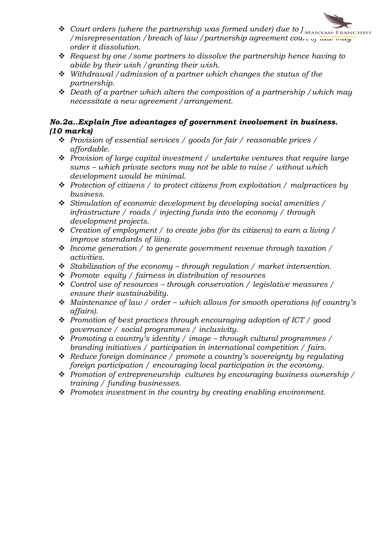

- $\triangle$  Request by one / some partners to dissolve the partnership hence having to abide by their wish /granting their wish.
- $\div$  Withdrawal / admission of a partner which changes the status of the partnership.
- $\triangleleft$  Death of a partner which alters the composition of a partnership / which may necessitate a new agreement /arrangement.

#### No.2a..Explain five advantages of government involvement in business. (10 marks)

- $\cdot \cdot$  Provision of essential services / goods for fair / reasonable prices / affordable.
- $\div$  Provision of large capital investment / undertake ventures that require large sums – which private sectors may not be able to raise / without which development would be minimal.
- $\triangle$  Protection of citizens / to protect citizens from exploitation / malpractices by business.
- $\div$  Stimulation of economic development by developing social amenities / infrastructure / roads / injecting funds into the economy / through development projects.
- $\cdot \cdot$  Creation of employment / to create jobs (for its citizens) to earn a living / improve starndards of liing.
- $\cdot$  Income generation / to generate government revenue through taxation / activities.
- $\div$  Stabilization of the economy through regulation / market intervention.
- $\div$  Promote equity / fairness in distribution of resources
- Control use of resources through conservation / legislative measures / ensure their sustainability.
- Maintenance of law / order which allows for smooth operations (of country's affairs).
- $\cdot \cdot$  Promotion of best practices through encouraging adoption of ICT / good governance / social programmes / inclusivity.
- $\cdot \cdot$  Promoting a country's identity / image through cultural programmes / branding initiatives / participation in international competition / fairs.
- $\triangleleft$  Reduce foreign dominance / promote a country's sovereignty by regulating foreign participation / encouraging local participation in the economy.
- $\triangleq$  Promotion of entrepreneurship cultures by encouraging business ownership / training / funding businesses.
- $\div$  Promotes investment in the country by creating enabling environment.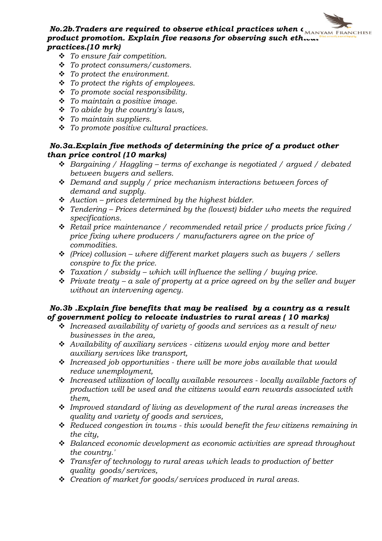#### No.2b. Traders are required to observe ethical practices when  $\epsilon_{\text{MANYAM FRMCHISE}}$ product promotion. Explain five reasons for observing such etheral practices.(10 mrk)

- $\cdot \cdot$  To ensure fair competition.
- v To protect consumers/customers.
- $\div$  To protect the environment.
- $\div$  To protect the rights of employees.
- $\div$  To promote social responsibility.
- $\div$  To maintain a positive image.
- $\div$  To abide by the country's laws,
- $\div$  To maintain suppliers.
- $\cdot \cdot$  To promote positive cultural practices.

### No.3a.Explain five methods of determining the price of a product other than price control (10 marks)

- $\triangleleft$  Bargaining / Haggling terms of exchange is negotiated / argued / debated between buyers and sellers.
- $\triangleleft$  Demand and supply / price mechanism interactions between forces of demand and supply.
- $\triangle$  Auction prices determined by the highest bidder.
- $\cdot$  Tendering Prices determined by the (lowest) bidder who meets the required specifications.
- $\triangleleft$  Retail price maintenance / recommended retail price / products price fixing / price fixing where producers / manufacturers agree on the price of commodities.
- $\div$  (Price) collusion where different market players such as buyers / sellers conspire to fix the price.
- $\cdot$  Taxation / subsidy which will influence the selling / buying price.
- $\div$  Private treaty a sale of property at a price agreed on by the seller and buyer without an intervening agency.

#### No.3b .Explain five benefits that may be realised by a country as a result of government policy to relocate industries to rural areas ( 10 marks)

- $\cdot$  Increased availability of variety of goods and services as a result of new businesses in the area,
- \* Availability of auxiliary services citizens would enjoy more and better auxiliary services like transport,
- $\cdot \cdot$  Increased job opportunities there will be more jobs available that would reduce unemployment,
- $\cdot$  Increased utilization of locally available resources locally available factors of production will be used and the citizens would earn rewards associated with them,
- $\div$  Improved standard of living as development of the rural areas increases the quality and variety of goods and services,
- $\ddot{\mathbf{v}}$  Reduced congestion in towns this would benefit the few citizens remaining in the city,
- $\triangleleft$  Balanced economic development as economic activities are spread throughout the country.'
- $\hat{P}$  Transfer of technology to rural areas which leads to production of better quality goods/services,
- $\div$  Creation of market for goods/services produced in rural areas.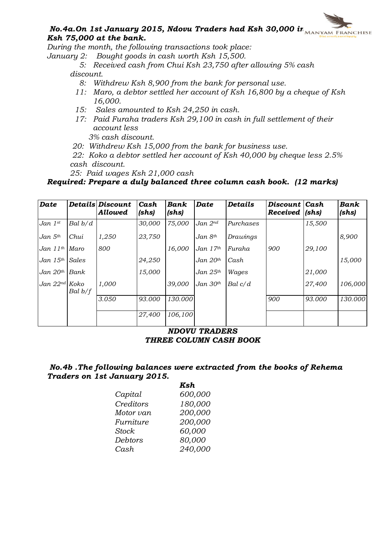

# $\boldsymbol{N}$ 0.4a.On 1st January 2015, Ndovu Traders had Ksh 30,000 in  $\boldsymbol{N}_{\text{MANYAM FRMCHISE}}$ Ksh 75,000 at the bank.

During the month, the following transactions took place:

January 2: Bought goods in cash worth Ksh 15,500.

 5: Received cash from Chui Ksh 23,750 after allowing 5% cash discount.

- 8: Withdrew Ksh 8,900 from the bank for personal use.
- 11: Maro, a debtor settled her account of Ksh 16,800 by a cheque of Ksh 16,000.
- 15: Sales amounted to Ksh 24,250 in cash.
- 17: Paid Furaha traders Ksh 29,100 in cash in full settlement of their account less

3% cash discount.

20: Withdrew Ksh 15,000 from the bank for business use.

 22: Koko a debtor settled her account of Ksh 40,000 by cheque less 2.5% cash discount.

25: Paid wages Ksh 21,000 cash

#### Required: Prepare a duly balanced three column cash book. (12 marks)

| <b>Date</b>        |           | Details Discount<br><b>Allowed</b> | Cash<br>(shs) | Bank<br>(shs) | Date                | <b>Details</b> | Discount Cash<br>Received | (shs)  | Bank<br>(shs) |
|--------------------|-----------|------------------------------------|---------------|---------------|---------------------|----------------|---------------------------|--------|---------------|
| Jan $1^{st}$       | Bal b/d   |                                    | 30,000        | 75,000        | Jan 2 <sup>nd</sup> | Purchases      |                           | 15,500 |               |
| Jan $5th$          | Chui      | 1,250                              | 23,750        |               | Jan 8th             | Drawings       |                           |        | 8,900         |
| Jan $11^{th}$      | Maro      | 800                                |               | 16,000        | Jan $17th$          | Furaha         | 900                       | 29,100 |               |
| Jan $15^{th}$      | Sales     |                                    | 24,250        |               | $Jan$ $20th$        | Cash           |                           |        | 15,000        |
| Jan $20th$         | Bank      |                                    | 15,000        |               | Jan $25th$          | Wages          |                           | 21,000 |               |
| Jan $22^{nd}$ Koko | Bal $b/f$ | 1,000                              |               | 39,000        | Jan $30th$          | $Bal \ c/d$    |                           | 27,400 | 106,000       |
|                    |           | 3.050                              | 93.000        | 130.000       |                     |                | 900                       | 93.000 | 130.000       |
|                    |           |                                    | 27,400        | 106,100       |                     |                |                           |        |               |

#### NDOVU TRADERS THREE COLUMN CASH BOOK

#### No.4b .The following balances were extracted from the books of Rehema Traders on 1st January 2015.

|              | Ksh     |
|--------------|---------|
| Capital      | 600,000 |
| Creditors    | 180,000 |
| Motor van    | 200,000 |
| Furniture    | 200,000 |
| <b>Stock</b> | 60,000  |
| Debtors      | 80,000  |
| Cash         | 240,000 |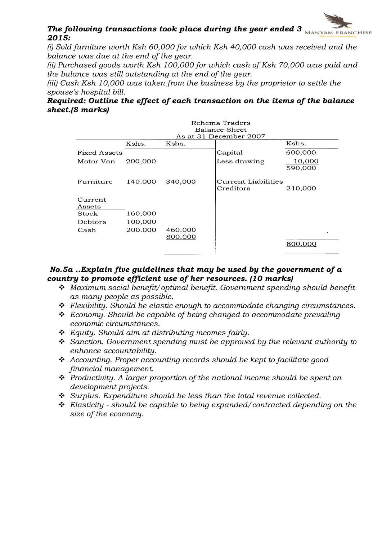## The following transactions took place during the year ended  $3\text{NAPYAM FRANCHISE}$ 2015:

(i) Sold furniture worth Ksh 60,000 for which Ksh 40,000 cash was received and the balance was due at the end of the year.

(ii) Purchased goods worth Ksh 100,000 for which cash of Ksh 70,000 was paid and the balance was still outstanding at the end of the year.

(iii) Cash Ksh 10,000 was taken from the business by the proprietor to settle the spouse's hospital bill.

#### Required: Outline the effect of each transaction on the items of the balance sheet.(8 marks)

|                     |         |                    | Rehema Traders<br>Balance Sheet<br>As at 31 December 2007 |                   |
|---------------------|---------|--------------------|-----------------------------------------------------------|-------------------|
|                     | Kshs.   | Kshs.              |                                                           | Kshs.             |
| <b>Fixed Assets</b> |         |                    | Capital                                                   | 600,000           |
| Motor Van           | 200,000 |                    | Less drawing                                              | 10,000<br>590,000 |
| Furniture           | 140.000 | 340,000            | Current Liabilities<br>Creditors                          | 210,000           |
| Current<br>Assets   |         |                    |                                                           |                   |
| Stock               | 160,000 |                    |                                                           |                   |
| Debtors             | 100,000 |                    |                                                           |                   |
| Cash                | 200.000 | 460.000<br>800.000 |                                                           |                   |
|                     |         |                    |                                                           | 800.000           |

#### No.5a ..Explain five guidelines that may be used by the government of a country to promote efficient use of her resources. (10 marks)

- $\triangleq$  Maximum social benefit/optimal benefit. Government spending should benefit as many people as possible.
- $\div$  Flexibility. Should be elastic enough to accommodate changing circumstances.
- $\triangle$  Economy. Should be capable of being changed to accommodate prevailing economic circumstances.
- $\div$  Equity. Should aim at distributing incomes fairly.
- $\div$  Sanction. Government spending must be approved by the relevant authority to enhance accountability.
- $\triangleleft$  Accounting. Proper accounting records should be kept to facilitate good financial management.
- $\triangle$  Productivity. A larger proportion of the national income should be spent on development projects.
- $\div$  Surplus. Expenditure should be less than the total revenue collected.
- $\div$  Elasticity should be capable to being expanded/contracted depending on the size of the economy.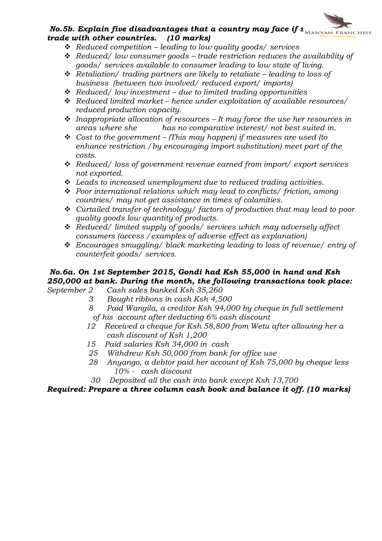# No.5b. Explain five disadvantages that a country may face if  $s_{\text{MANYAM FRANCHISE}}$ trade with other countries. (10 marks)

- $\triangleleft$  Reduced competition leading to low quality goods/ services
- $\triangle$  Reduced/ low consumer goods trade restriction reduces the availability of goods/ services available to consumer leading to low state of living.
- $\div$  Retaliation/ trading partners are likely to retaliate leading to loss of business (between two involved/ reduced export/ imports)
- $\triangleleft$  Reduced/low investment due to limited trading opportunities
- $\div$  Reduced limited market hence under exploitation of available resources/ reduced production capacity.
- Inappropriate allocation of resources It may force the use her resources in areas where she has no comparative interest/ not best suited in.
- $\div$  Cost to the government (This may happen) if measures are used (to enhance restriction /by encouraging import substitution) meet part of the costs.
- \* Reduced/ loss of government revenue earned from import/ export services not exported.
- $\div$  Leads to increased unemployment due to reduced trading activities.
- $\cdot$  Poor international relations which may lead to conflicts/ friction, among countries/ may not get assistance in times of calamities.
- \* Curtailed transfer of technology/ factors of production that may lead to poor quality goods low quantity of products.
- \* Reduced/ limited supply of goods/ services which may adversely affect consumers (access /examples of adverse effect as explanation)
- \* Encourages smuggling/ black marketing leading to loss of revenue/ entry of counterfeit goods/ services.

# No.6a. On 1st September 2015, Gondi had Ksh 55,000 in hand and Ksh 250,000 at bank. During the month, the following transactions took place:

September 2 Cash sales banked Ksh 35,260

- 3 Bought ribbons in cash Ksh 4,500
- 8 Paid Wangila, a creditor Ksh 94,000 by cheque in full settlement of his account after deducting 6% cash discount
- 12 Received a cheque for Ksh 58,800 from Wetu after allowing her a cash discount of Ksh 1,200
- 15 Paid salaries Ksh 34,000 in cash
- 25 Withdrew Ksh 50,000 from bank for office use
- 28 Anyango, a debtor paid her account of Ksh 75,000 by cheque less 10% - cash discount
- 30 Deposited all the cash into bank except Ksh 13,700

Required: Prepare a three column cash book and balance it off. (10 marks)